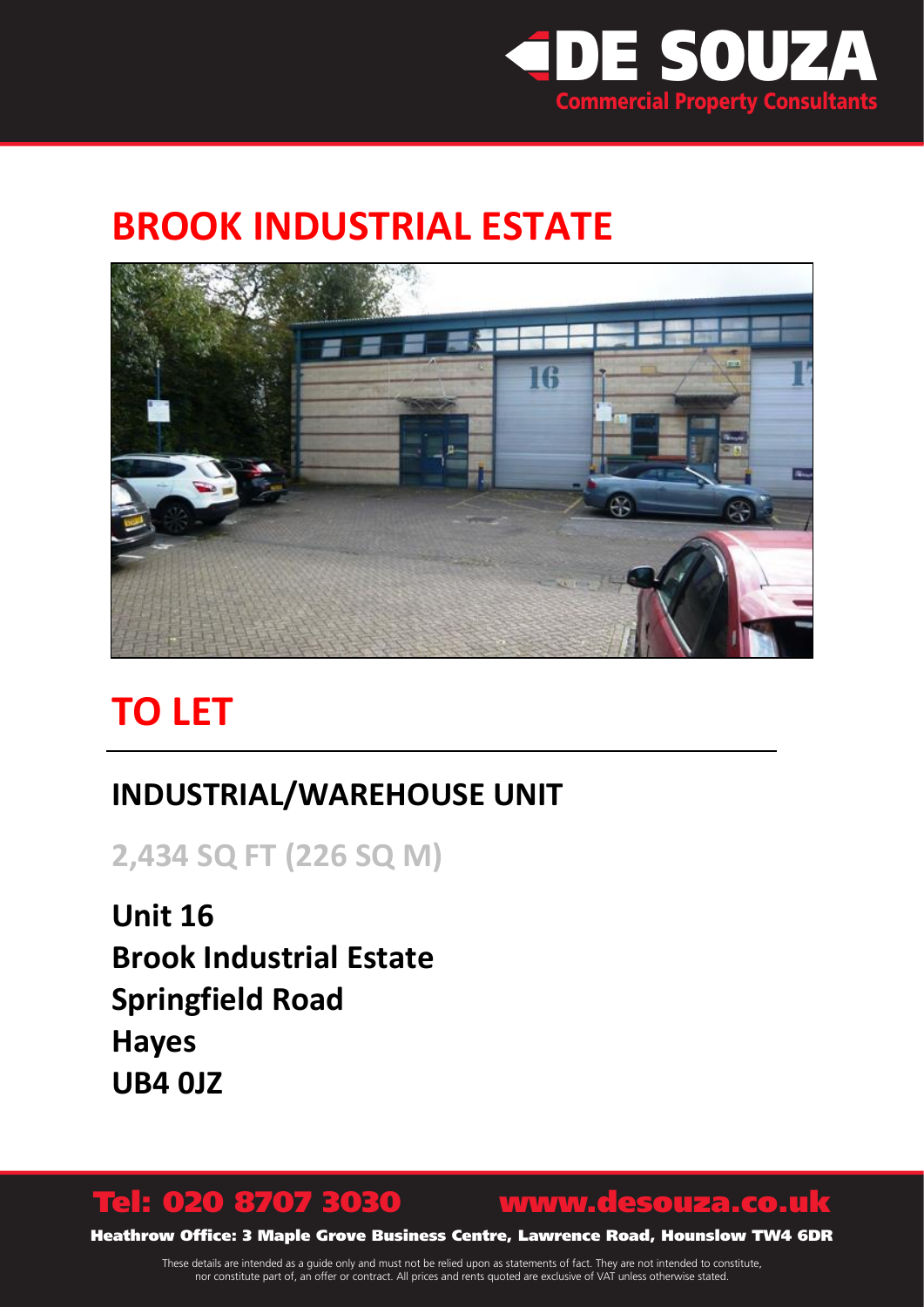

## **BROOK INDUSTRIAL ESTATE**



# **TO LET**

### **INDUSTRIAL/WAREHOUSE UNIT**

**2,434 SQ FT (226 SQ M)**

**Unit 16 Brook Industrial Estate Springfield Road Hayes UB4 0JZ**

## Tel: 020 8707 3030 www.desouza.co.uk

Heathrow Office: 3 Maple Grove Business Centre, Lawrence Road, Hounslow TW4 6DR